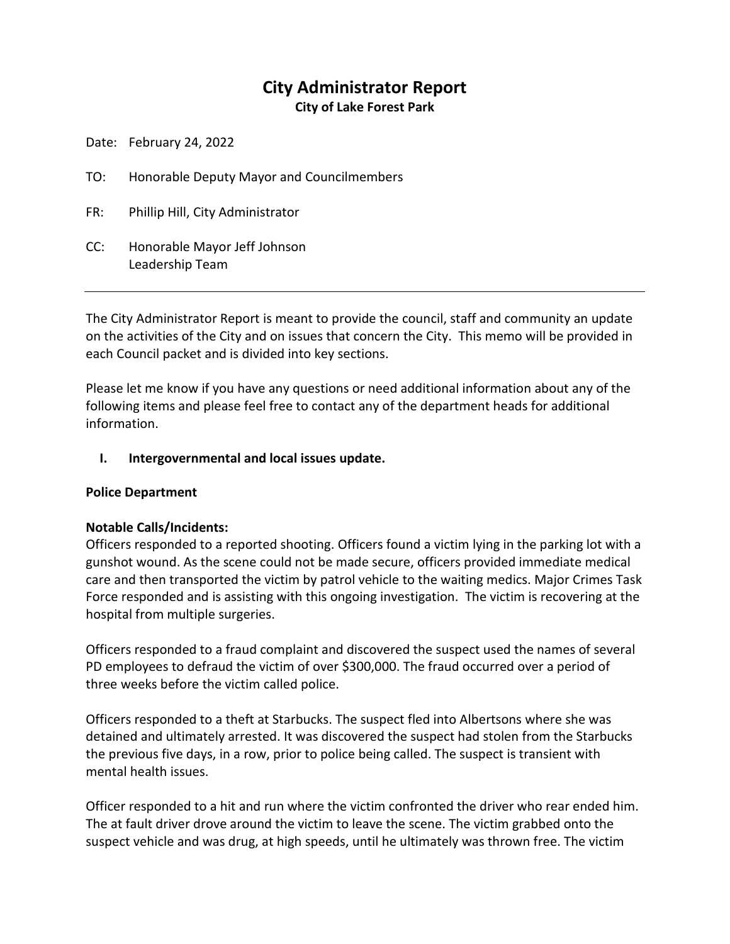# **City Administrator Report**

**City of Lake Forest Park**

Date: February 24, 2022

TO: Honorable Deputy Mayor and Councilmembers

FR: Phillip Hill, City Administrator

CC: Honorable Mayor Jeff Johnson Leadership Team

The City Administrator Report is meant to provide the council, staff and community an update on the activities of the City and on issues that concern the City. This memo will be provided in each Council packet and is divided into key sections.

Please let me know if you have any questions or need additional information about any of the following items and please feel free to contact any of the department heads for additional information.

#### **I. Intergovernmental and local issues update.**

#### **Police Department**

#### **Notable Calls/Incidents:**

Officers responded to a reported shooting. Officers found a victim lying in the parking lot with a gunshot wound. As the scene could not be made secure, officers provided immediate medical care and then transported the victim by patrol vehicle to the waiting medics. Major Crimes Task Force responded and is assisting with this ongoing investigation. The victim is recovering at the hospital from multiple surgeries.

Officers responded to a fraud complaint and discovered the suspect used the names of several PD employees to defraud the victim of over \$300,000. The fraud occurred over a period of three weeks before the victim called police.

Officers responded to a theft at Starbucks. The suspect fled into Albertsons where she was detained and ultimately arrested. It was discovered the suspect had stolen from the Starbucks the previous five days, in a row, prior to police being called. The suspect is transient with mental health issues.

Officer responded to a hit and run where the victim confronted the driver who rear ended him. The at fault driver drove around the victim to leave the scene. The victim grabbed onto the suspect vehicle and was drug, at high speeds, until he ultimately was thrown free. The victim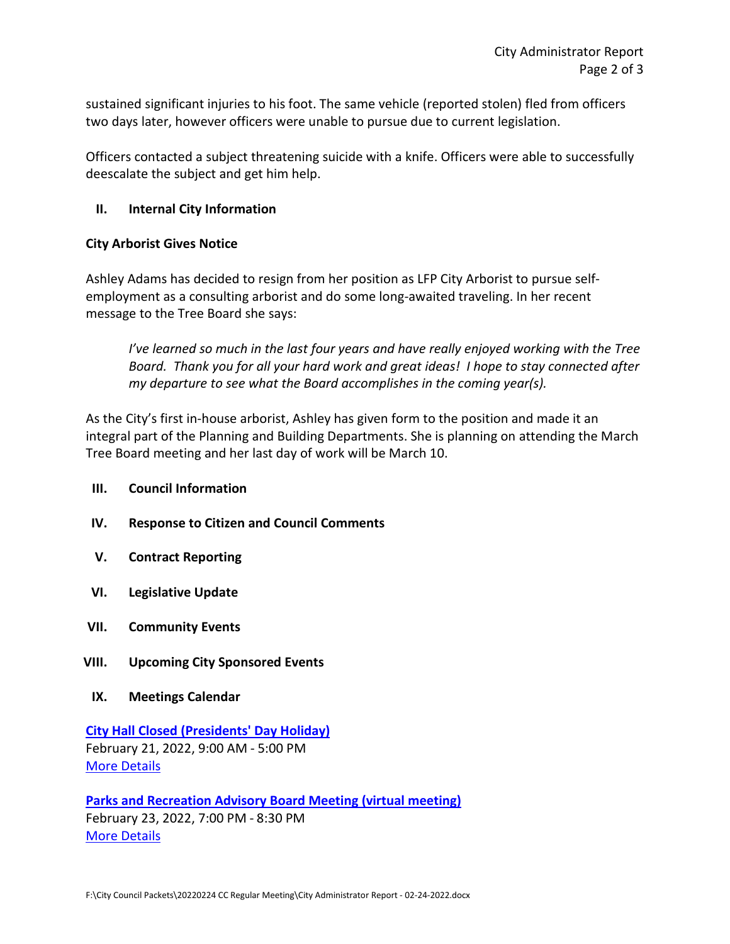sustained significant injuries to his foot. The same vehicle (reported stolen) fled from officers two days later, however officers were unable to pursue due to current legislation.

Officers contacted a subject threatening suicide with a knife. Officers were able to successfully deescalate the subject and get him help.

## **II. Internal City Information**

### **City Arborist Gives Notice**

Ashley Adams has decided to resign from her position as LFP City Arborist to pursue selfemployment as a consulting arborist and do some long-awaited traveling. In her recent message to the Tree Board she says:

*I've learned so much in the last four years and have really enjoyed working with the Tree Board. Thank you for all your hard work and great ideas! I hope to stay connected after my departure to see what the Board accomplishes in the coming year(s).*

As the City's first in-house arborist, Ashley has given form to the position and made it an integral part of the Planning and Building Departments. She is planning on attending the March Tree Board meeting and her last day of work will be March 10.

#### **III. Council Information**

- **IV. Response to Citizen and Council Comments**
- **V. Contract Reporting**
- **VI. Legislative Update**
- **VII. Community Events**
- **VIII. Upcoming City Sponsored Events**
- **IX. Meetings Calendar**

**[City Hall Closed \(Presidents' Day Holiday\)](https://www.cityoflfp.com/Calendar.aspx?EID=2173&month=2&year=2022&day=18&calType=0)** February 21, 2022, 9:00 AM - 5:00 PM [More Details](https://www.cityoflfp.com/Calendar.aspx?EID=2173&month=2&year=2022&day=18&calType=0)

**[Parks and Recreation Advisory Board Meeting \(virtual meeting\)](https://www.cityoflfp.com/Calendar.aspx?EID=2157&month=2&year=2022&day=18&calType=0)** February 23, 2022, 7:00 PM - 8:30 PM [More Details](https://www.cityoflfp.com/Calendar.aspx?EID=2157&month=2&year=2022&day=18&calType=0)